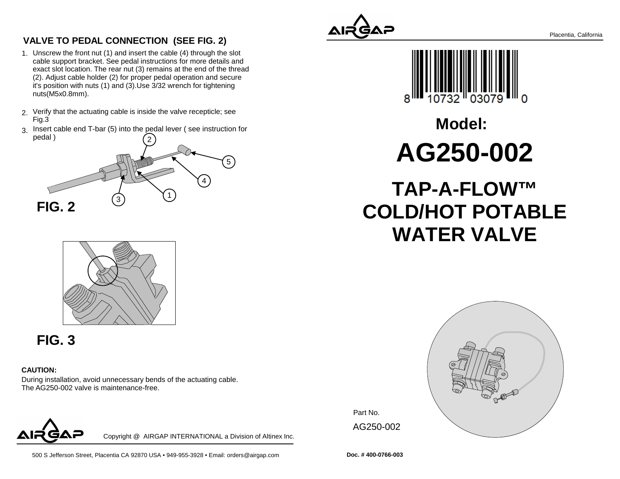### **VALVE TO PEDAL CONNECTION (SEE FIG. 2)**

- 1. Unscrew the front nut (1) and insert the cable (4) through the slot cable support bracket. See pedal instructions for more details and exact slot location. The rear nut (3) remains at the end of the thread(2). Adjust cable holder (2) for proper pedal operation and secureit's position with nuts (1) and (3).Use 3/32 wrench for tighteningnuts(M5x0.8mm).
- 2. Verify that the actuating cable is inside the valve recepticle; see Fig.3
- 3. Insert cable end T-bar (5) into the pedal lever ( see instruction for pedal )2





### **FIG. 3**

#### **CAUTION:**

During installation, avoid unnecessary bends of the actuating cable. The AG250-002 valve is maintenance-free.



Copyright @ AIRGAP INTERNATIONAL a Division of Altinex Inc.

500 S Jefferson Street, Placentia CA 92870 USA • 949-955-3928 • Email: orders@airgap.com





# **AG250-002Model:**

## **TAP-A-FLOW™ COLD/HOT POTABLEWATER VALVE**



Part No. AG250-002